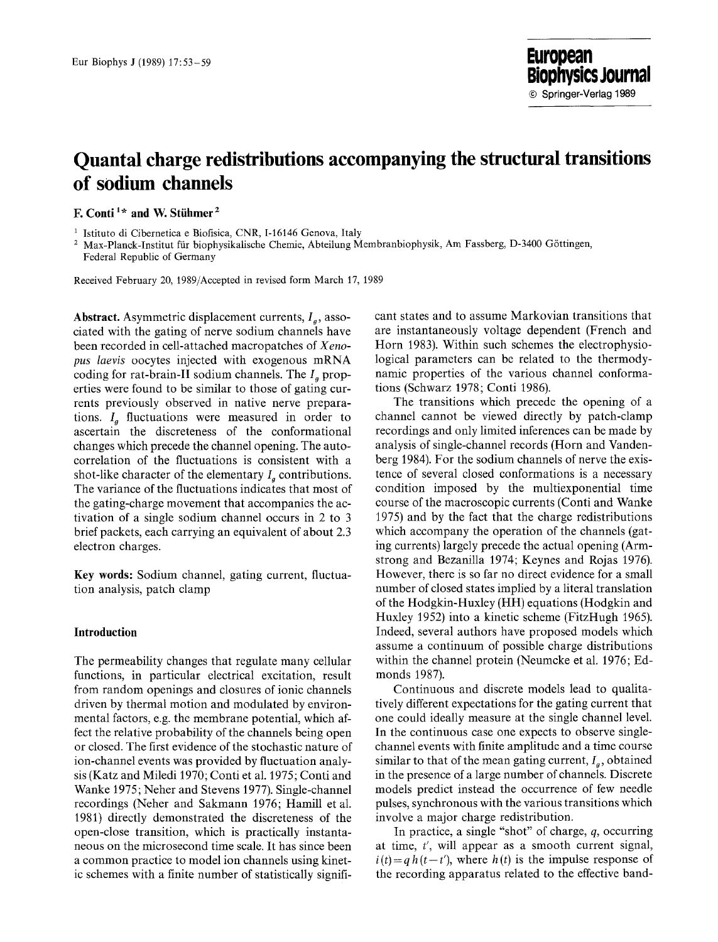# **Quantal charge redistributions accompanying the structural transitions of sodium channels**

**F. Conti<sup>1\*</sup> and W. Stühmer<sup>2</sup>** 

<sup>1</sup> Istituto di Cibernetica e Biofisica, CNR, I-16146 Genova, Italy

2 Max-Planck-Institut fiir biophysikalische Chemie, Abteilung Membranbiophysik, Am Fassberg, D-3400 G6ttingen, Federal Republic of Germany

Received February 20, 1989/Accepted in revised form March 17, 1989

**Abstract.** Asymmetric displacement currents,  $I<sub>g</sub>$ , associated with the gating of nerve sodium channels have been recorded in cell-attached macropatches of *Xenopus laevis* oocytes injected with exogenous mRNA coding for rat-brain-II sodium channels. The  $I<sub>a</sub>$  properties were found to be similar to those of gating currents previously observed in native nerve preparations.  $I_a$  fluctuations were measured in order to ascertain the discreteness of the conformational changes which precede the channel opening. The autocorrelation of the fluctuations is consistent with a shot-like character of the elementary  $I_a$  contributions. The variance of the fluctuations indicates that most of the gating-charge movement that accompanies the activation of a single sodium channel occurs in 2 to 3 brief packets, each carrying an equivalent of about 2.3 electron charges.

**Key words:** Sodium channel, gating current, fluctuation analysis, patch clamp

#### **Introduction**

The permeability changes that regulate many cellular functions, in particular electrical excitation, result from random openings and closures of ionic channels driven by thermal motion and modulated by environmental factors, e.g. the membrane potential, which affect the relative probability of the channels being open or closed. The first evidence of the stochastic nature of ion-channel events was provided by fluctuation analysis (Katz and Miledi 1970; Conti et al. 1975; Conti and Wanke 1975; Neher and Stevens 1977). Single-channel recordings (Neher and Sakmann 1976; Hamill et al. 1981) directly demonstrated the discreteness of the open-close transition, which is practically instantaneous on the microsecond time scale. It has since been a common practice to model ion channels using kinetic schemes with a finite number of statistically significant states and to assume Markovian transitions that are instantaneously voltage dependent (French and Horn 1983). Within such schemes the electrophysiological parameters can be related to the thermodynamic properties of the various channel conformations (Schwarz 1978; Conti 1986).

The transitions which precede the opening of a channel cannot be viewed directly by patch-clamp recordings and only limited inferences can be made by analysis of single-channel records (Horn and Vandenberg 1984). For the sodium channels of nerve the existence of several closed conformations is a necessary condition imposed by the multiexponential time course of the macroscopic currents (Conti and Wanke 1975) and by the fact that the charge redistributions which accompany the operation of the channels (gating currents) largely precede the actual opening (Armstrong and Bezanilla 1974; Keynes and Rojas 1976). However, there is so far no direct evidence for a small number of closed states implied by a literal translation of the Hodgkin-Huxley (HH) equations (Hodgkin and Huxley 1952) into a kinetic scheme (FitzHugh 1965). Indeed, several authors have proposed models which assume a continuum of possible charge distributions within the channel protein (Neumcke et al. 1976; Edmonds 1987).

Continuous and discrete models lead to qualitatively different expectations for the gating current that one could ideally measure at the single channel level. In the continuous case one expects to observe singlechannel events with finite amplitude and a time course similar to that of the mean gating current,  $I_a$ , obtained in the presence of a large number of channels. Discrete models predict instead the occurrence of few needle pulses, synchronous with the various transitions which involve a major charge redistribution.

In practice, a single "shot" of charge, q, occurring at time, *t',* will appear as a smooth current signal,  $i(t) = q h(t-t')$ , where  $h(t)$  is the impulse response of the recording apparatus related to the effective band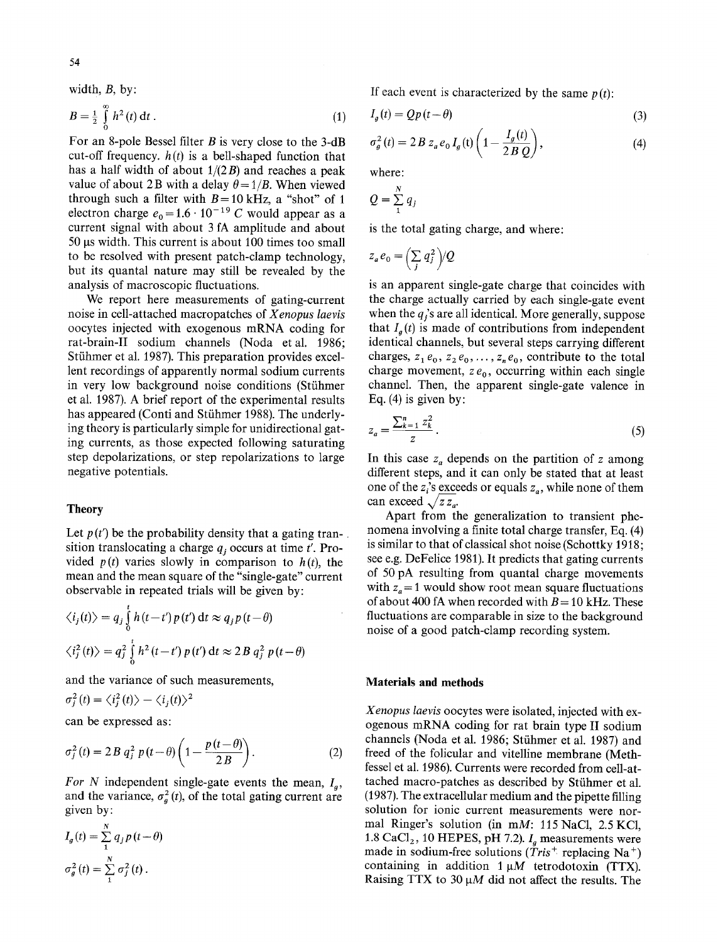width, B, by:

$$
B = \frac{1}{2} \int_{0}^{\infty} h^{2}(t) dt.
$$
 (1)

For an 8-pole Bessel filter B is very close to the 3-dB cut-off frequency,  $h(t)$  is a bell-shaped function that has a half width of about  $1/(2B)$  and reaches a peak value of about 2B with a delay  $\theta = 1/B$ . When viewed through such a filter with  $B = 10$  kHz, a "shot" of 1 electron charge  $e_0 = 1.6 \cdot 10^{-19}$  C would appear as a current signal with about 3 fA amplitude and about 50 gs width. This current is about 100 times too small to be resolved with present patch-clamp technology, but its quantal nature may still be revealed by the analysis of macroscopic fluctuations.

We report here measurements of gating-current noise in cell-attached macropatches of *Xenopus laevis*  oocytes injected with exogenous mRNA coding for rat-brain-II sodium channels (Noda etal. 1986; Stühmer et al. 1987). This preparation provides excellent recordings of apparently normal sodium currents in very low background noise conditions (Stühmer et al. 1987). A brief report of the experimental results has appeared (Conti and Stühmer 1988). The underlying theory is particularly simple for unidirectional gating currents, as those expected following saturating step depolarizations, or step repolarizations to large negative potentials.

#### **Theory**

Let  $p(t')$  be the probability density that a gating tran-. sition translocating a charge  $q_i$  occurs at time  $t'$ . Provided  $p(t)$  varies slowly in comparison to  $h(t)$ , the mean and the mean square of the "single-gate" current observable in repeated trials will be given by:

$$
\langle i_j(t) \rangle = q_j \int_0^t h(t-t') p(t') dt \approx q_j p(t-\theta)
$$
  

$$
\langle i_j^2(t) \rangle = q_j^2 \int_0^t h^2(t-t') p(t') dt \approx 2B q_j^2 p(t-\theta)
$$

and the variance of such measurements,

$$
\sigma_i^2(t) = \langle i_j^2(t) \rangle - \langle i_j(t) \rangle^2
$$

can be expressed as:

$$
\sigma_j^2(t) = 2B q_j^2 p(t-\theta) \left( 1 - \frac{p(t-\theta)}{2B} \right).
$$
 (2)

For N independent single-gate events the mean,  $I_a$ , and the variance,  $\sigma_q^2(t)$ , of the total gating current are given by:

$$
I_g(t) = \sum_{1}^{N} q_j p(t - \theta)
$$
  

$$
\sigma_g^2(t) = \sum_{1}^{N} \sigma_j^2(t).
$$

If each event is characterized by the same  $p(t)$ :

$$
I_g(t) = Qp(t - \theta)
$$
\n(3)

$$
\sigma_g^2(t) = 2 B z_a e_0 I_g(t) \left( 1 - \frac{I_g(t)}{2 B Q} \right),\tag{4}
$$

where:

$$
Q=\sum_{1}^{N} q_{j}
$$

is the total gating charge, and where:

$$
z_a e_0 = \left(\sum_j q_j^2\right)/Q
$$

is an apparent single-gate charge that coincides with the charge actually carried by each single-gate event when the  $q_i$ 's are all identical. More generally, suppose that  $I_a(t)$  is made of contributions from independent identical channels, but several steps carrying different charges,  $z_1 e_0$ ,  $z_2 e_0$ , ...,  $z_n e_0$ , contribute to the total charge movement,  $ze_0$ , occurring within each single channel. Then, the apparent single-gate valence in Eq.  $(4)$  is given by:

$$
z_a = \frac{\sum_{k=1}^{n} z_k^2}{z} \,. \tag{5}
$$

In this case  $z_a$  depends on the partition of z among different steps, and it can only be stated that at least one of the  $z_i$ 's exceeds or equals  $z_a$ , while none of them can exceed  $\sqrt{z z_a}$ .

Apart from the generalization to transient phenomena involving a finite total charge transfer, Eq. (4) is similar to that of classical shot noise (Schottky 1918; see e.g. DeFelice 1981). It predicts that gating currents of 50 pA resulting from quantal charge movements with  $z_a = 1$  would show root mean square fluctuations of about 400 fA when recorded with  $B = 10$  kHz. These fluctuations are comparable in size to the background noise of a good patch-clamp recording system.

## **Materials and methods**

*Xenopus laevis* oocytes were isolated, injected with exogenous mRNA coding for rat brain type II sodium channels (Noda et al. 1986; Stühmer et al. 1987) and freed of the folicular and vitelline membrane (Methfessel et al. 1986). Currents were recorded from cell-attached macro-patches as described by Stühmer et al. (1987). The extracellular medium and the pipette filling solution for ionic current measurements were normal Ringer's solution (in mM: 115 NaCl, 2.5 KCl, 1.8 CaCl<sub>2</sub>, 10 HEPES, pH 7.2).  $I_a$  measurements were made in sodium-free solutions *(Tris<sup>+</sup>*, replacing Na<sup>+</sup>) containing in addition  $1 \mu M$  tetrodotoxin (TTX). Raising TTX to 30  $\mu$ M did not affect the results. The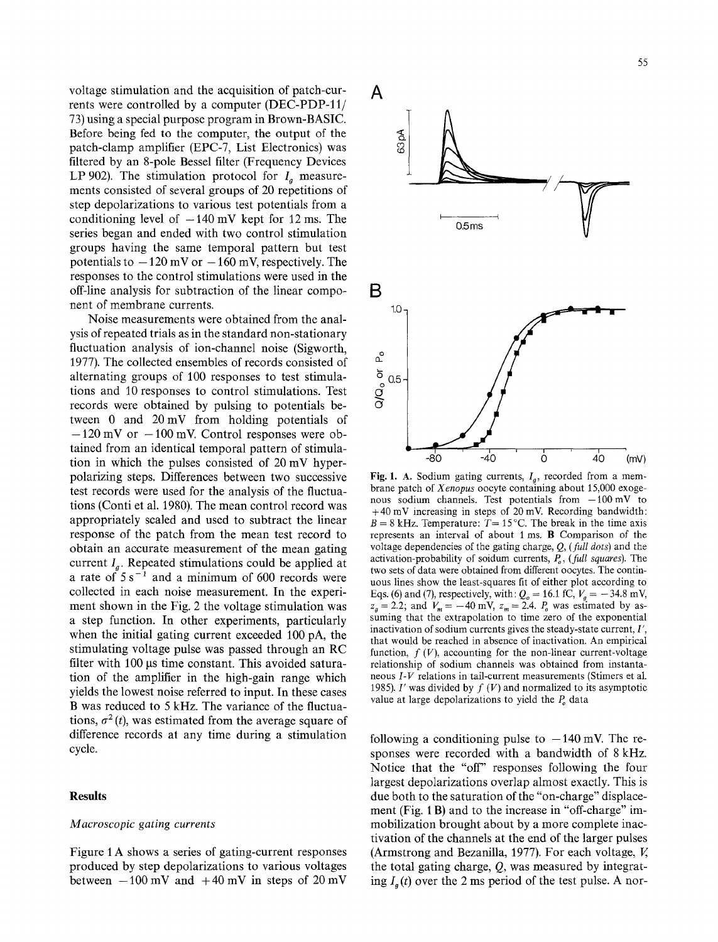55

voltage stimulation and the acquisition of patch-currents were controlled by a computer (DEC-PDP-11/ 73) using a special purpose program in Brown-BASIC. Before being fed to the computer, the output of the patch-clamp amplifier (EPC-7, List Electronics) was filtered by an 8-pole Bessel filter (Frequency Devices LP 902). The stimulation protocol for  $I_a$  measurements consisted of several groups of 20 repetitions of step depolarizations to various test potentials from a conditioning level of  $-140$  mV kept for 12 ms. The series began and ended with two control stimulation groups having the same temporal pattern but test potentials to  $-120$  mV or  $-160$  mV, respectively. The responses to the control stimulations were used in the off-line analysis for subtraction of the linear component of membrane currents.

Noise measurements were obtained from the analysis of repeated trials as in the standard non-stationary fluctuation analysis of ion-channel noise (Sigworth, 1977). The collected ensembles of records consisted of alternating groups of 100 responses to test stimulations and 10 responses to control stimulations. Test records were obtained by pulsing to potentials between 0 and 20mV from holding potentials of  $-120$  mV or  $-100$  mV. Control responses were obtained from an identical temporal pattern of stimulation in which the pulses consisted of 20 mV hyperpolarizing steps. Differences between two successive test records were used for the analysis of the fluctuations (Conti et al. 1980). The mean control record was appropriately scaled and used to subtract the linear response of the patch from the mean test record to obtain an accurate measurement of the mean gating current  $I_a$ . Repeated stimulations could be applied at a rate of  $5 s^{-1}$  and a minimum of 600 records were collected in each noise measurement. In the experiment shown in the Fig. 2 the voltage stimulation was a step function. In other experiments, particularly when the initial gating current exceeded 100 pA, the stimulating voltage pulse was passed through an RC filter with 100 us time constant. This avoided saturation of the amplifier in the high-gain range which yields the lowest noise referred to input. In these cases B was reduced to 5 kHz. The variance of the fluctuations,  $\sigma^2(t)$ , was estimated from the average square of difference records at any time during a stimulation cycle.

#### **Results**

### *Macroscopic gating currents*

Figure 1 A shows a series of gating-current responses produced by step depolarizations to various voltages between  $-100$  mV and  $+40$  mV in steps of 20 mV



Fig. 1. A. Sodium gating currents,  $I_a$ , recorded from a membrane patch of *Xenopus* oocyte containing about 15,000 exogenous sodium channels. Test potentials from  $-100$  mV to  $+40$  mV increasing in steps of 20 mV. Recording bandwidth:  $B = 8$  kHz. Temperature:  $T = 15$ °C. The break in the time axis represents an interval of about 1 ms. B Comparison of the voltage dependencies of the gating charge, Q, *(fidl dots)* and the activation-probability of soidum currents,  $P<sub>o</sub>$ , *(full squares)*. The two sets of data were obtained from different oocytes. The continuous lines show the least-squares fit of either plot according to Eqs. (6) and (7), respectively, with:  $Q_0 = 16.1$  fC,  $V_g = -34.8$  mV,  $z_a = 2.2$ ; and  $V_m = -40$  mV,  $z_m = 2.4$ .  $P_a$  was estimated by assuming that the extrapolation to time zero of the exponential inactivation of sodium currents gives the steady-state current, I', that would be reached in absence of inactivation. An empirical function,  $f(V)$ , accounting for the non-linear current-voltage relationship of sodium channels was obtained from instantaneous *I-V* relations in tail-current measurements (Stimers et al. 1985). I' was divided by  $f(V)$  and normalized to its asymptotic value at large depolarizations to yield the  $P<sub>o</sub>$  data

following a conditioning pulse to  $-140$  mV. The responses were recorded with a bandwidth of 8 kHz. Notice that the "off" responses following the four largest depolarizations overlap almost exactly. This is due both to the saturation of the "on-charge" displacement (Fig. 1 B) and to the increase in "off-charge" immobilization brought about by a more complete inactivation of the channels at the end of the larger pulses (Armstrong and Bezanilla, 1977). For each voltage, V, the total gating charge,  $Q$ , was measured by integrating  $I<sub>g</sub>(t)$  over the 2 ms period of the test pulse. A nor-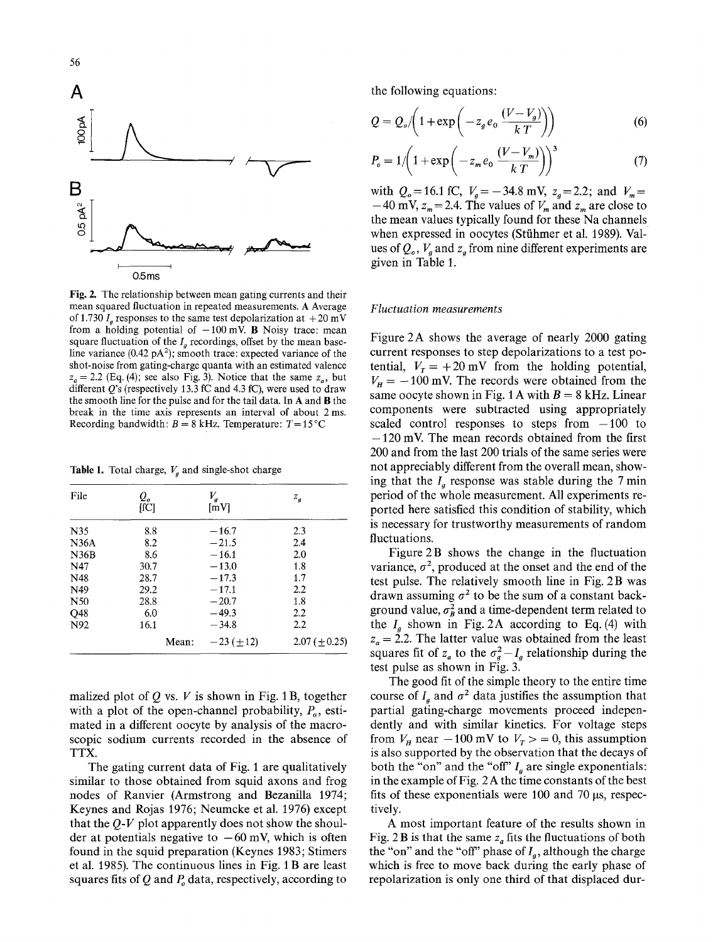

Fig. 2. The relationship between mean gating currents and their mean squared fluctuation in repeated measurements. A Average of 1.730  $I_a$  responses to the same test depolarization at  $+20$  mV from a holding potential of  $-100$  mV. B Noisy trace: mean square fluctuation of the  $I<sub>a</sub>$  recordings, offset by the mean baseline variance  $(0.42 \text{ pA}^2)$ ; smooth trace: expected variance of the shot-noise from gating-charge quanta with an estimated valence  $z_a = 2.2$  (Eq. (4); see also Fig. 3). Notice that the same  $z_a$ , but different  $Q$ 's (respectively 13.3 fC and 4.3 fC), were used to draw the smooth line for the pulse and for the tail data. In A and B the break in the time axis represents an interval of about 2 ms. Recording bandwidth:  $B = 8$  kHz. Temperature:  $T = 15^{\circ}$ C

Table 1. Total charge,  $V_a$  and single-shot charge

| File | Q.<br>[fC] | $V_{a}$<br>[mV] | $z_a$             |
|------|------------|-----------------|-------------------|
| N35  | 8.8        | $-16.7$         | 2.3               |
| N36A | 8.2        | $-21.5$         | 2.4               |
| N36B | 8.6        | $-16.1$         | 2.0               |
| N47  | 30.7       | $-13.0$         | 1.8               |
| N48  | 28.7       | $-17.3$         | 1.7               |
| N49  | 29.2       | $-17.1$         | 2.2               |
| N50  | 28.8       | $-20.7$         | 1.8               |
| Q48  | 6.0        | $-49.3$         | 2.2               |
| N92  | 16.1       | $-34.8$         | 2.2               |
|      | Mean:      | $-23 (\pm 12)$  | $2.07 (\pm 0.25)$ |

malized plot of  $Q$  vs.  $V$  is shown in Fig. 1B, together with a plot of the open-channel probability,  $P<sub>o</sub>$ , estimated in a different oocyte by analysis of the macroscopic sodium currents recorded in the absence of TTX.

The gating current data of Fig. 1 are qualitatively similar to those obtained from squid axons and frog nodes of Ranvier (Armstrong and Bezanilla 1974; Keynes and Rojas 1976; Neumcke et al. 1976) except that the *Q-V* plot apparently does not show the shoulder at potentials negative to  $-60$  mV, which is often found in the squid preparation (Keynes 1983; Stimers et al. 1985). The continuous lines in Fig. 1 B are least squares fits of Q and  $P<sub>a</sub>$  data, respectively, according to

the following equations:

$$
Q = Q_o / \left(1 + \exp\left(-z_g e_0 \frac{(V - V_g)}{kT}\right)\right) \tag{6}
$$

$$
P_o = 1/\left(1 + \exp\left(-z_m e_0 \frac{(V - V_m)}{k T}\right)\right)^3\tag{7}
$$

with  $Q_o=16.1$  fC,  $V_g=-34.8$  mV,  $z_g=2.2$ ; and  $V_m=$  $-40$  mV,  $z_m = 2.4$ . The values of  $V_m$  and  $z_m$  are close to the mean values typically found for these Na channels when expressed in oocytes (Stühmer et al. 1989). Values of  $Q_{\rho}$ ,  $V_{\rho}$  and  $z_{\rho}$  from nine different experiments are given in Table 1.

#### *Fluctuation measurements*

Figure 2A shows the average of nearly 2000 gating current responses to step depolarizations to a test potential,  $V_r = +20$  mV from the holding potential,  $V_H = -100$  mV. The records were obtained from the same oocyte shown in Fig. 1 A with  $B = 8$  kHz. Linear components were subtracted using appropriately scaled control responses to steps from  $-100$  to  $-120$  mV. The mean records obtained from the first 200 and from the last 200 trials of the same series were not appreciably different from the overall mean, showing that the  $I_a$  response was stable during the 7 min period of the whole measurement. All experiments reported here satisfied this condition of stability, which is necessary for trustworthy measurements of random fluctuations.

Figure 2B shows the change in the fluctuation variance,  $\sigma^2$ , produced at the onset and the end of the test pulse. The relatively smooth line in Fig. 2B was drawn assuming  $\sigma^2$  to be the sum of a constant background value,  $\sigma_B^2$  and a time-dependent term related to the  $I<sub>g</sub>$  shown in Fig. 2A according to Eq. (4) with  $z_a = 2.2$ . The latter value was obtained from the least squares fit of  $z_a$  to the  $\sigma_g^2 - I_g$  relationship during the test pulse as shown in Fig. 3.

The good fit of the simple theory to the entire time course of  $I_a$  and  $\sigma^2$  data justifies the assumption that partial gating-charge movements proceed independently and with similar kinetics. For voltage steps from  $V_H$  near  $-100$  mV to  $V_T > 0$ , this assumption is also supported by the observation that the decays of both the "on" and the "off"  $I_a$  are single exponentials: in the example of Fig. 2 A the time constants of the best fits of these exponentials were 100 and 70  $\mu$ s, respectively.

A most important feature of the results shown in Fig. 2B is that the same  $z_a$  fits the fluctuations of both the "on" and the "off" phase of  $I_g$ , although the charge which is free to move back during the early phase of repolarization is only one third of that displaced dur-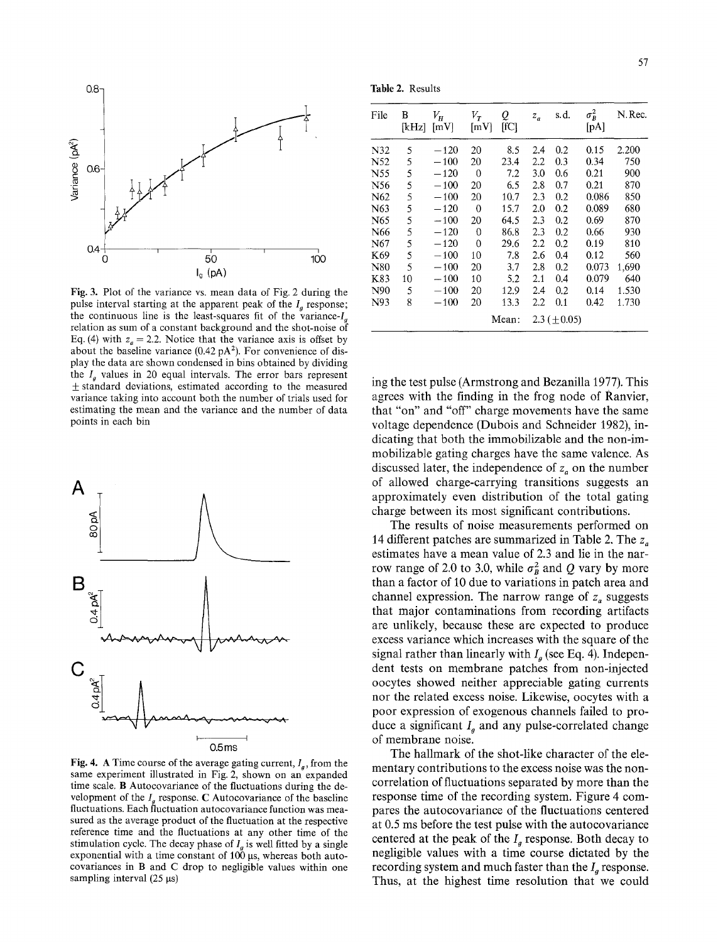

Fig. 3. Plot of the variance vs. mean data of Fig. 2 during the pulse interval starting at the apparent peak of the  $I<sub>a</sub>$  response; the continuous line is the least-squares fit of the variance- $I_a$ relation as sum of a constant background and the shot-noise of Eq. (4) with  $z_a = 2.2$ . Notice that the variance axis is offset by about the baseline variance  $(0.42 \text{ pA}^2)$ . For convenience of display the data are shown condensed in bins obtained by dividing the  $I_a$  values in 20 equal intervals. The error bars represent  $±$  standard deviations, estimated according to the measured variance taking into account both the number of trials used for estimating the mean and the variance and the number of data points in each bin



Fig. 4. A Time course of the average gating current,  $I_a$ , from the same experiment illustrated in Fig. 2, shown on an expanded time scale. B Autocovariance of the fluctuations during the development of the  $I<sub>g</sub>$  response. C Autocovariance of the baseline fluctuations. Each fluctuation autocovariance function was measured as the average product of the fluctuation at the respective reference time and the fluctuations at any other time of the stimulation cycle. The decay phase of  $I<sub>g</sub>$  is well fitted by a single exponential with a time constant of  $100 \mu s$ , whereas both autocovariances in B and C drop to negligible values within one sampling interval  $(25 \mu s)$ 

**Table** 2. Results

| File | B<br>[kHz] | $V_H^{}$<br>$\lceil mV \rceil$ | $V_T$<br>[mV] | Q<br>[IC] | $z_a$              | s.d.    | $\sigma_B^2$<br>[pA] | N.Rec. |
|------|------------|--------------------------------|---------------|-----------|--------------------|---------|----------------------|--------|
| N32  | 5          | $-120$                         | 20            | 8.5       | 2.4                | 0.2     | 0.15                 | 2.200  |
| N52  | 5          | $-100$                         | 20            | 23.4      | 2.2                | 0.3     | 0.34                 | 750    |
| N55  | 5          | $-120$                         | $\mathbf{0}$  | 7.2       | 3.0                | 0.6     | 0.21                 | 900    |
| N56  | 5          | $-100$                         | 20            | 6.5       | 2.8                | 0.7     | 0.21                 | 870    |
| N62  | 5          | $-100$                         | 20            | 10.7      | 2.3                | $0.2\,$ | 0.086                | 850    |
| N63  | 5          | $-120$                         | $\Omega$      | 15.7      | 2.0                | 0.2     | 0.089                | 680    |
| N65  | 5          | $-100$                         | 20            | 64.5      | 2.3                | 0.2     | 0.69                 | 870    |
| N66  | 5          | $-120$                         | 0             | 86.8      | 2.3                | 0.2     | 0.66                 | 930    |
| N67  | 5          | $-120$                         | 0             | 29.6      | 2.2                | 0.2     | 0.19                 | 810    |
| K69  | 5          | $-100$                         | 10            | 7.8       | 2.6                | 0.4     | 0.12                 | 560    |
| N80  | 5          | $-100$                         | 20            | 3.7       | 2.8                | 0.2     | 0.073                | 1,690  |
| K83  | 10         | $-100$                         | 10            | 5.2       | 2.1                | 0.4     | 0.079                | 640    |
| N90  | 5          | $-100$                         | 20            | 12.9      | 2.4                | 0.2     | 0.14                 | 1.530  |
| N93  | 8          | $-100$                         | 20            | 13.3      | 2.2                | 0.1     | 0.42                 | 1.730  |
|      |            |                                |               | Mean:     | $2.3 \ (\pm 0.05)$ |         |                      |        |

ing the test pulse (Armstrong and Bezanilla 1977). This agrees with the finding in the frog node of Ranvier, that "on" and "off" charge movements have the same voltage dependence (Dubois and Schneider 1982), indicating that both the immobilizable and the non-immobilizable gating charges have the same valence. As discussed later, the independence of  $z<sub>a</sub>$  on the number of allowed charge-carrying transitions suggests an approximately even distribution of the total gating charge between its most significant contributions.

The results of noise measurements performed on 14 different patches are summarized in Table 2. The  $z_a$ estimates have a mean value of 2.3 and lie in the narrow range of 2.0 to 3.0, while  $\sigma_B^2$  and Q vary by more than a factor of 10 due to variations in patch area and channel expression. The narrow range of  $z_a$  suggests that major contaminations from recording artifacts are unlikely, because these are expected to produce excess variance which increases with the square of the signal rather than linearly with  $I_a$  (see Eq. 4). Independent tests on membrane patches from non-injected oocytes showed neither appreciable gating currents nor the related excess noise. Likewise, oocytes with a poor expression of exogenous channels failed to produce a significant  $I<sub>q</sub>$  and any pulse-correlated change of membrane noise.

The hallmark of the shot-like character of the elementary contributions to the excess noise was the noncorrelation of fluctuations separated by more than the response time of the recording system. Figure 4 compares the autocovariance of the fluctuations centered at 0.5 ms before the test pulse with the autocovariance centered at the peak of the  $I<sub>a</sub>$  response. Both decay to negligible values with a time course dictated by the recording system and much faster than the  $I_q$  response. Thus, at the highest time resolution that we could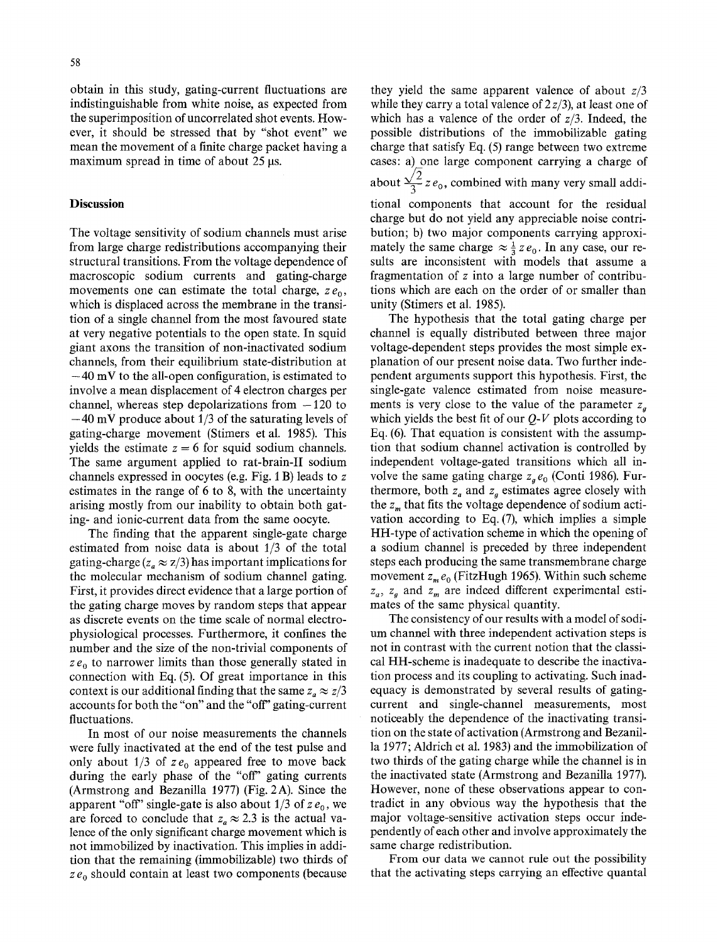obtain in this study, gating-current fluctuations are indistinguishable from white noise, as expected from the superimposition of uncorrelated shot events. However, it should be stressed that by "shot event" we mean the movement of a finite charge packet having a

maximum spread in time of about  $25 \mu s$ .

### **Discussion**

The voltage sensitivity of sodium channels must arise from large charge redistributions accompanying their structural transitions. From the voltage dependence of macroscopic sodium currents and gating-charge movements one can estimate the total charge,  $ze_0$ , which is displaced across the membrane in the transition of a single channel from the most favoured state at very negative potentials to the open state. In squid giant axons the transition of non-inactivated sodium channels, from their equilibrium state-distribution at  $-40$  mV to the all-open configuration, is estimated to involve a mean displacement of 4 electron charges per channel, whereas step depolarizations from  $-120$  to **-40** mV produce about 1/3 of the saturating levels of gating-charge movement (Stimers et al. 1985). This yields the estimate  $z=6$  for squid sodium channels. The same argument applied to rat-brain-II sodium channels expressed in oocytes (e.g. Fig. 1 B) leads to z estimates in the range of 6 to 8, with the uncertainty arising mostly from our inability to obtain both gating- and ionic-current data from the same oocyte.

The finding that the apparent single-gate charge estimated from noise data is about 1/3 of the total gating-charge  $(z_a \approx z/3)$  has important implications for the molecular mechanism of sodium channel gating. First, it provides direct evidence that a large portion of the gating charge moves by random steps that appear as discrete events on the time scale of normal electrophysiological processes. Furthermore, it confines the number and the size of the non-trivial components of  $ze<sub>0</sub>$  to narrower limits than those generally stated in connection with Eq. (5). Of great importance in this context is our additional finding that the same  $z_a \approx z/3$ accounts for both the "on" and the "off' gating-current fluctuations.

In most of our noise measurements the channels were fully inactivated at the end of the test pulse and only about  $1/3$  of  $ze_0$  appeared free to move back during the early phase of the "off' gating currents (Armstrong and Bezanilla 1977) (Fig. 2A). Since the apparent "off" single-gate is also about  $1/3$  of  $z e_0$ , we are forced to conclude that  $z_a \approx 2.3$  is the actual valence of the only significant charge movement which is not immobilized by inactivation. This implies in addition that the remaining (immobilizable) two thirds of  $ze_0$  should contain at least two components (because

they yield the same apparent valence of about *z/3*  while they carry a total valence of 2 *z/3),* at least one of which has a valence of the order of *z/3.* Indeed, the possible distributions of the immobilizable gating charge that satisfy Eq. (5) range between two extreme cases: a) one large component carrying a charge of about  $\frac{\sqrt{2}}{3}$  z  $e_0$ , combined with many very small additional components that account for the residual charge but do not yield any appreciable noise contribution; b) two major components carrying approximately the same charge  $\approx \frac{1}{3} z e_0$ . In any case, our results are inconsistent with models that assume a fragmentation of z into a large number of contributions which are each on the order of or smaller than unity (Stimers et al. 1985).

The hypothesis that the total gating charge per channel is equally distributed between three major voltage-dependent steps provides the most simple explanation of our present noise data. Two further independent arguments support this hypothesis. First, the single-gate valence estimated from noise measurements is very close to the value of the parameter  $z_a$ which yields the best fit of our *Q-V* plots according to Eq. (6). That equation is consistent with the assumption that sodium channel activation is controlled by independent voltage-gated transitions which all involve the same gating charge  $z_a e_0$  (Conti 1986). Furthermore, both  $z_a$  and  $z_g$  estimates agree closely with the  $z_m$  that fits the voltage dependence of sodium activation according to Eq. (7), which implies a simple HH-type of activation scheme in which the opening of a sodium channel is preceded by three independent steps each producing the same transmembrane charge movement  $z_m e_0$  (FitzHugh 1965). Within such scheme  $z_a$ ,  $z_a$  and  $z_m$  are indeed different experimental estimates of the same physical quantity.

The consistency of our results with a model of sodium channel with three independent activation steps is not in contrast with the current notion that the classical HH-scheme is inadequate to describe the inactivation process and its coupling to activating. Such inadequacy is demonstrated by several results of gatingcurrent and single-channel measurements, most noticeably the dependence of the inactivating transition on the state of activation (Armstrong and Bezanilla 1977; Aldrich et al. 1983) and the immobilization of two thirds of the gating charge while the channel is in the inactivated state (Armstrong and Bezanilla 1977). However, none of these observations appear to contradict in any obvious way the hypothesis that the major voltage-sensitive activation steps occur independently of each other and involve approximately the same charge redistribution.

From our data we cannot rule out the possibility that the activating steps carrying an effective quantal